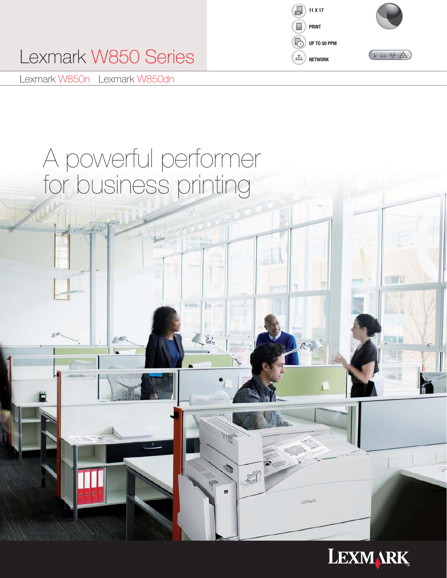

# Lexmark W850 Series **NETWORK**

Lexmark W850n Lexmark W850dn

# A powerful performer for business printing

 $-52$ ı.



S

**LEXIMARK**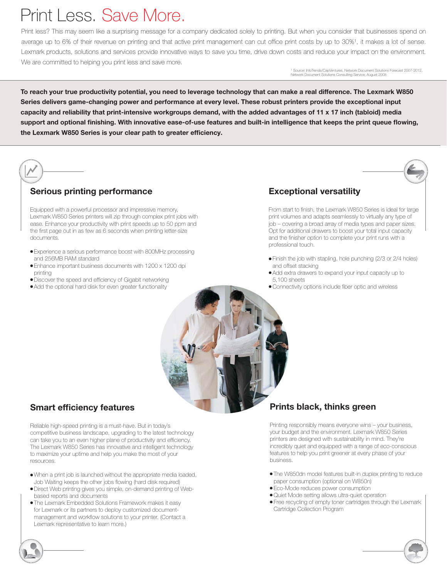# Print Less. Save More.

Print less? This may seem like a surprising message for a company dedicated solely to printing. But when you consider that businesses spend on average up to 6% of their revenue on printing and that active print management can cut office print costs by up to 30%1, it makes a lot of sense. Lexmark products, solutions and services provide innovative ways to save you time, drive down costs and reduce your impact on the environment. We are committed to helping you print less and save more.

> <sup>1</sup> Source: InfoTrends/CapVentures, Network Document Solutions Forecast 2007-2012, Network Document Solutions Consulting Service, August 2008

To reach your true productivity potential, you need to leverage technology that can make a real difference. The Lexmark W850 Series delivers game-changing power and performance at every level. These robust printers provide the exceptional input capacity and reliability that print-intensive workgroups demand, with the added advantages of 11 x 17 inch (tabloid) media support and optional finishing. With innovative ease-of-use features and built-in intelligence that keeps the print queue flowing, the Lexmark W850 Series is your clear path to greater efficiency.

# Serious printing performance

Equipped with a powerful processor and impressive memory, Lexmark W850 Series printers will zip through complex print jobs with ease. Enhance your productivity with print speeds up to 50 ppm and the first page out in as few as 6 seconds when printing letter-size documents.

- Experience a serious performance boost with 800MHz processing and 256MB RAM standard
- Enhance important business documents with 1200 x 1200 dpi printing
- Discover the speed and efficiency of Gigabit networking
- Add the optional hard disk for even greater functionality

## Exceptional versatility

From start to finish, the Lexmark W850 Series is ideal for large print volumes and adapts seamlessly to virtually any type of job – covering a broad array of media types and paper sizes. Opt for additional drawers to boost your total input capacity and the finisher option to complete your print runs with a professional touch.

- Finish the job with stapling, hole punching (2/3 or 2/4 holes) and offset stacking
- Add extra drawers to expand your input capacity up to 5,100 sheets
- Connectivity options include fiber optic and wireless

## Smart efficiency features

Reliable high-speed printing is a must-have. But in today's competitive business landscape, upgrading to the latest technology can take you to an even higher plane of productivity and efficiency. The Lexmark W850 Series has innovative and intelligent technology to maximize your uptime and help you make the most of your resources.

- When a print job is launched without the appropriate media loaded, Job Waiting keeps the other jobs flowing (hard disk required)
- Direct Web printing gives you simple, on-demand printing of Webbased reports and documents
- The Lexmark Embedded Solutions Framework makes it easy for Lexmark or its partners to deploy customized documentmanagement and workflow solutions to your printer. (Contact a Lexmark representative to learn more.)

## Prints black, thinks green

Printing responsibly means everyone wins – your business, your budget and the environment. Lexmark W850 Series printers are designed with sustainability in mind. They're incredibly quiet and equipped with a range of eco-conscious features to help you print greener at every phase of your business.

- The W850dn model features built-in duplex printing to reduce paper consumption (optional on W850n)
- Eco-Mode reduces power consumption
- Quiet Mode setting allows ultra-quiet operation
- Free recycling of empty toner cartridges through the Lexmark Cartridge Collection Program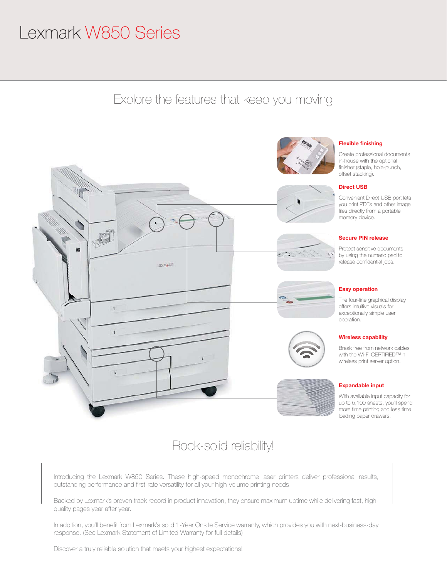# Lexmark W850 Series

Explore the features that keep you moving



# Rock-solid reliability!

Introducing the Lexmark W850 Series. These high-speed monochrome laser printers deliver professional results, outstanding performance and first-rate versatility for all your high-volume printing needs.

Backed by Lexmark's proven track record in product innovation, they ensure maximum uptime while delivering fast, highquality pages year after year.

In addition, you'll benefit from Lexmark's solid 1-Year Onsite Service warranty, which provides you with next-business-day response. (See Lexmark Statement of Limited Warranty for full details)

Discover a truly reliable solution that meets your highest expectations!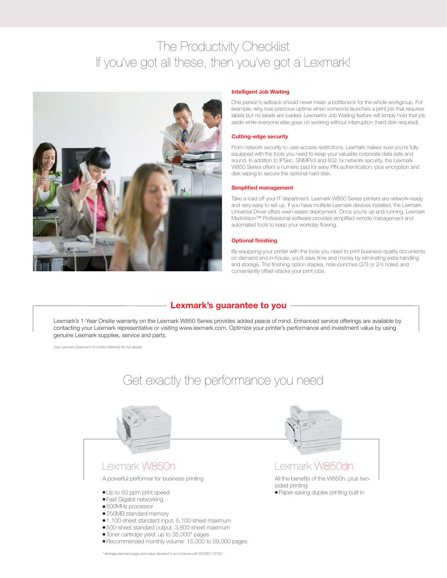# The Productivity Checklist If you've got all these, then you've got a Lexmark!



### Intelligent Job Waiting

One person's setback should never mean a bottleneck for the whole workgroup. For example, why lose precious uptime when someone launches a print job that requires labels but no labels are loaded. Lexmark's Job Waiting feature will simply hold that job aside while everyone else goes on working without interruption (hard disk required).

### Cutting-edge security

From network security to user-access restrictions, Lexmark makes sure you're fully equipped with the tools you need to keep your valuable corporate data safe and sound. In addition to IPSec, SNMPv3 and 802.1x network security, the Lexmark W850 Series offers a numeric pad for easy PIN authentication, plus encryption and disk wiping to secure the optional hard disk.

### Simplified management

Take a load off your IT department. Lexmark W850 Series printers are network-ready and very easy to set up. If you have multiple Lexmark devices installed, the Lexmark Universal Driver offers even easier deployment. Once you're up and running, Lexmark MarkVision™ Professional software provides simplified remote management and automated tools to keep your workday flowing.

### Optional finishing

By equipping your printer with the tools you need to print business-quality documents on demand and in-house, you'll save time and money by eliminating extra handling and storage. The finishing option staples, hole-punches (2/3 or 2/4 holes) and conveniently offset-stacks your print jobs.

## Lexmark's guarantee to you

Lexmark's 1-Year Onsite warranty on the Lexmark W850 Series provides added peace of mind. Enhanced service offerings are available by contacting your Lexmark representative or visiting www.lexmark.com. Optimize your printer's performance and investment value by using genuine Lexmark supplies, service and parts.

*(See Lexmark Statement of Limited Warranty for full details)*



*\* Average standard page yield value declared in accordance with ISO/IEC 19752.*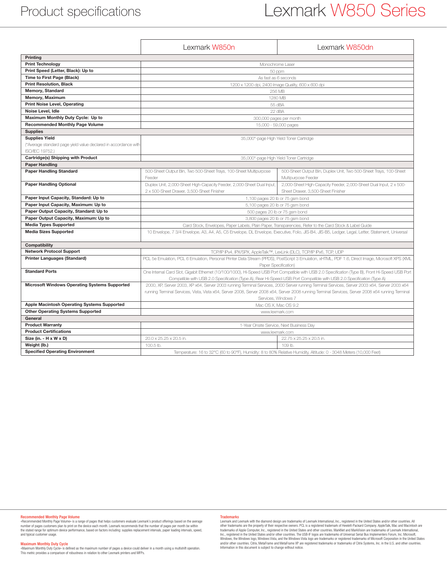# Lexmark W850 Series

|                                                                 | Lexmark W850n                                                                                                                                      | Lexmark W850dn                                                                           |
|-----------------------------------------------------------------|----------------------------------------------------------------------------------------------------------------------------------------------------|------------------------------------------------------------------------------------------|
| <b>Printing</b>                                                 |                                                                                                                                                    |                                                                                          |
| <b>Print Technology</b>                                         | Monochrome Laser                                                                                                                                   |                                                                                          |
| Print Speed (Letter, Black): Up to                              | 50 ppm                                                                                                                                             |                                                                                          |
| Time to First Page (Black)                                      | As fast as 6 seconds                                                                                                                               |                                                                                          |
| <b>Print Resolution, Black</b>                                  | 1200 x 1200 dpi, 2400 Image Quality, 600 x 600 dpi                                                                                                 |                                                                                          |
| Memory, Standard                                                | 256 MB                                                                                                                                             |                                                                                          |
| Memory, Maximum                                                 | 1280 MB                                                                                                                                            |                                                                                          |
| <b>Print Noise Level, Operating</b>                             | 55 dBA                                                                                                                                             |                                                                                          |
| Noise Level, Idle                                               | 22 dBA                                                                                                                                             |                                                                                          |
| Maximum Monthly Duty Cycle: Up to                               | 300,000 pages per month                                                                                                                            |                                                                                          |
| <b>Recommended Monthly Page Volume</b>                          | 15,000 - 59,000 pages                                                                                                                              |                                                                                          |
| <b>Supplies</b>                                                 |                                                                                                                                                    |                                                                                          |
| <b>Supplies Yield</b>                                           | 35,000*-page High Yield Toner Cartridge                                                                                                            |                                                                                          |
| (*Average standard page yield value declared in accordance with |                                                                                                                                                    |                                                                                          |
| ISO/IEC 19752.)                                                 |                                                                                                                                                    |                                                                                          |
| Cartridge(s) Shipping with Product                              | 35,000*-page High Yield Toner Cartridge                                                                                                            |                                                                                          |
| <b>Paper Handling</b>                                           |                                                                                                                                                    |                                                                                          |
| <b>Paper Handling Standard</b>                                  | 500-Sheet Output Bin, Two 500-Sheet Trays, 100-Sheet Multipurpose<br>Feeder                                                                        | 500-Sheet Output Bin, Duplex Unit, Two 500-Sheet Trays, 100-Sheet<br>Multipurpose Feeder |
| <b>Paper Handling Optional</b>                                  | Duplex Unit, 2,000-Sheet High-Capacity Feeder, 2,000-Sheet Dual Input,                                                                             | 2,000-Sheet High-Capacity Feeder, 2,000-Sheet Dual Input, 2 x 500-                       |
|                                                                 | 2 x 500-Sheet Drawer, 3,500-Sheet Finisher                                                                                                         | Sheet Drawer, 3,500-Sheet Finisher                                                       |
| Paper Input Capacity, Standard: Up to                           | 1,100 pages 20 lb or 75 gsm bond                                                                                                                   |                                                                                          |
| Paper Input Capacity, Maximum: Up to                            | 5,100 pages 20 lb or 75 gsm bond                                                                                                                   |                                                                                          |
| Paper Output Capacity, Standard: Up to                          | 500 pages 20 lb or 75 gsm bond                                                                                                                     |                                                                                          |
| Paper Output Capacity, Maximum: Up to                           | 3,800 pages 20 lb or 75 gsm bond                                                                                                                   |                                                                                          |
| <b>Media Types Supported</b>                                    | Card Stock, Envelopes, Paper Labels, Plain Paper, Transparencies, Refer to the Card Stock & Label Guide                                            |                                                                                          |
| <b>Media Sizes Supported</b>                                    | 10 Envelope, 7 3/4 Envelope, A3, A4, A5, C5 Envelope, DL Envelope, Executive, Folio, JIS-B4, JIS-B5, Ledger, Legal, Letter, Statement, Universal   |                                                                                          |
| Compatibility                                                   |                                                                                                                                                    |                                                                                          |
| <b>Network Protocol Support</b>                                 | TCP/IP IPv4, IPX/SPX, AppleTalk™, LexLink (DLC), TCP/IP IPv6, TCP, UDP                                                                             |                                                                                          |
| <b>Printer Languages (Standard)</b>                             | PCL 5e Emulation, PCL 6 Emulation, Personal Printer Data Stream (PPDS), PostScript 3 Emulation, xHTML, PDF 1.6, Direct Image, Microsoft XPS (XML   |                                                                                          |
|                                                                 | Paper Specification)                                                                                                                               |                                                                                          |
| <b>Standard Ports</b>                                           | One Internal Card Slot, Gigabit Ethernet (10/100/1000), Hi-Speed USB Port Compatible with USB 2.0 Specification (Type B), Front Hi-Speed USB Port  |                                                                                          |
|                                                                 | Compatible with USB 2.0 Specification (Type A), Rear Hi-Speed USB Port Compatible with USB 2.0 Specification (Type A)                              |                                                                                          |
| <b>Microsoft Windows Operating Systems Supported</b>            | 2000, XP, Server 2003, XP x64, Server 2003 running Terminal Services, 2000 Server running Terminal Services, Server 2003 x64, Server 2003 x64      |                                                                                          |
|                                                                 | running Terminal Services, Vista, Vista x64, Server 2008, Server 2008 x64, Server 2008 running Terminal Services, Server 2008 x64 running Terminal |                                                                                          |
|                                                                 | Services, Windows 7                                                                                                                                |                                                                                          |
| Apple Macintosh Operating Systems Supported                     | Mac OS X. Mac OS 9.2                                                                                                                               |                                                                                          |
| <b>Other Operating Systems Supported</b>                        | www.lexmark.com                                                                                                                                    |                                                                                          |
| General                                                         |                                                                                                                                                    |                                                                                          |
| <b>Product Warranty</b>                                         | 1-Year Onsite Service, Next Business Day                                                                                                           |                                                                                          |
| <b>Product Certifications</b>                                   | www.lexmark.com                                                                                                                                    |                                                                                          |
| Size (in. - H x W x D)                                          | 20.0 x 25.25 x 20.5 in.                                                                                                                            | 22.75 x 25.25 x 20.5 in.                                                                 |
| Weight (lb.)                                                    | 100.5 lb.                                                                                                                                          | 109 lb.                                                                                  |
| <b>Specified Operating Environment</b>                          | Temperature: 16 to 32°C (60 to 90°F), Humidity: 8 to 80% Relative Humidity, Altitude: 0 - 3048 Meters (10,000 Feet)                                |                                                                                          |

### Recommended Monthly Page Volume

«Recommended Monthly Page Volume» is a range of pages that helps customers evaluate Lexmark's product offerings based on the average<br>number of pages customers plan to print on the device each month. Lexmark recommends that and typical customer usage.

Maximum Monthly Duty Cycle<br>«Maximum Monthly Duty Cycle» is defined as the maximum number of pages a device could deliver in a month using a multishift operation.<br>This metric provides a comparison of robustness in relation

Trademarks<br>demark and Lexmark with the diamond design are trademarks of Lexmark International, Inc., registered in the United States and/or other countries. All<br>dother trademarks are the property of their respective owners